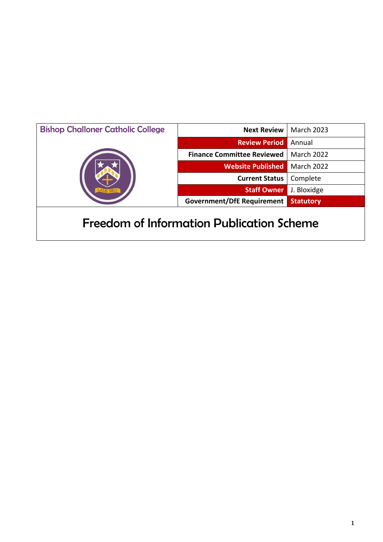| <b>Bishop Challoner Catholic College</b> | <b>Next Review</b>                               | <b>March 2023</b> |
|------------------------------------------|--------------------------------------------------|-------------------|
|                                          | <b>Review Period</b>                             | Annual            |
|                                          | <b>Finance Committee Reviewed</b>                | <b>March 2022</b> |
|                                          | <b>Website Published</b>                         | <b>March 2022</b> |
|                                          | <b>Current Status</b>                            | Complete          |
|                                          | <b>Staff Owner</b>                               | J. Bloxidge       |
|                                          | <b>Government/DfE Requirement</b>                | <b>Statutory</b>  |
|                                          | <b>Freedom of Information Publication Scheme</b> |                   |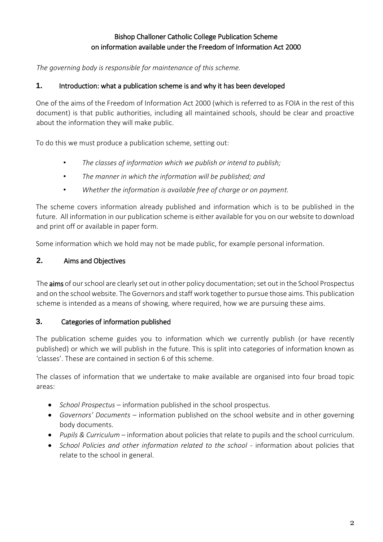# Bishop Challoner Catholic College Publication Scheme on information available under the Freedom of Information Act 2000

*The governing body is responsible for maintenance of this scheme.* 

## **1.** Introduction: what a publication scheme is and why it has been developed

One of the aims of the Freedom of Information Act 2000 (which is referred to as FOIA in the rest of this document) is that public authorities, including all maintained schools, should be clear and proactive about the information they will make public.

To do this we must produce a publication scheme, setting out:

- *The classes of information which we publish or intend to publish;*
- *The manner in which the information will be published; and*
- *Whether the information is available free of charge or on payment.*

The scheme covers information already published and information which is to be published in the future. All information in our publication scheme is either available for you on our website to download and print off or available in paper form.

Some information which we hold may not be made public, for example personal information.

# **2.** Aims and Objectives

The aims of our school are clearly set out in other policy documentation; set out in the School Prospectus and on the school website. The Governors and staff work together to pursue those aims. This publication scheme is intended as a means of showing, where required, how we are pursuing these aims.

# **3.** Categories of information published

The publication scheme guides you to information which we currently publish (or have recently published) or which we will publish in the future. This is split into categories of information known as 'classes'. These are contained in section 6 of this scheme.

The classes of information that we undertake to make available are organised into four broad topic areas:

- *School Prospectus* information published in the school prospectus.
- *Governors' Documents* information published on the school website and in other governing body documents.
- *Pupils & Curriculum* information about policies that relate to pupils and the school curriculum.
- *School Policies and other information related to the school* information about policies that relate to the school in general.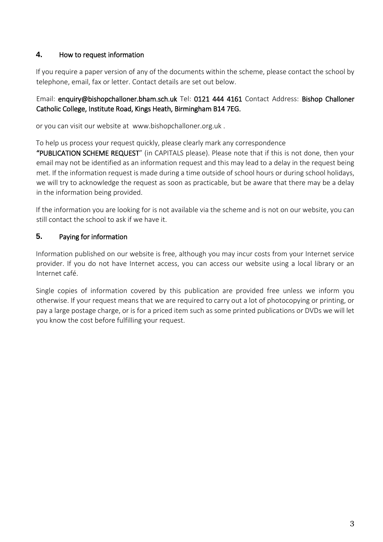## **4.** How to request information

If you require a paper version of any of the documents within the scheme, please contact the school by telephone, email, fax or letter. Contact details are set out below.

## Email: enquiry@bishopchalloner.bham.sch.uk Tel: 0121 444 4161 Contact Address: Bishop Challoner Catholic College, Institute Road, Kings Heath, Birmingham B14 7EG.

or you can visit our website at www.bishopchalloner.org.uk .

To help us process your request quickly, please clearly mark any correspondence

"PUBLICATION SCHEME REQUEST" (in CAPITALS please). Please note that if this is not done, then your email may not be identified as an information request and this may lead to a delay in the request being met. If the information request is made during a time outside of school hours or during school holidays, we will try to acknowledge the request as soon as practicable, but be aware that there may be a delay in the information being provided.

If the information you are looking for is not available via the scheme and is not on our website, you can still contact the school to ask if we have it.

## **5.** Paying for information

Information published on our website is free, although you may incur costs from your Internet service provider. If you do not have Internet access, you can access our website using a local library or an Internet café.

Single copies of information covered by this publication are provided free unless we inform you otherwise. If your request means that we are required to carry out a lot of photocopying or printing, or pay a large postage charge, or is for a priced item such as some printed publications or DVDs we will let you know the cost before fulfilling your request.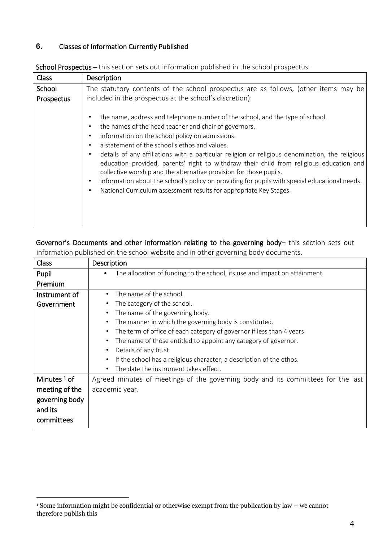#### **6.** Classes of Information Currently Published

| <b>Class</b> | Description                                                                                                                                                                                                                                                                                                                                                                                                                                                                                                                                                                                                                                                                           |
|--------------|---------------------------------------------------------------------------------------------------------------------------------------------------------------------------------------------------------------------------------------------------------------------------------------------------------------------------------------------------------------------------------------------------------------------------------------------------------------------------------------------------------------------------------------------------------------------------------------------------------------------------------------------------------------------------------------|
| School       | The statutory contents of the school prospectus are as follows, (other items may be                                                                                                                                                                                                                                                                                                                                                                                                                                                                                                                                                                                                   |
| Prospectus   | included in the prospectus at the school's discretion):                                                                                                                                                                                                                                                                                                                                                                                                                                                                                                                                                                                                                               |
|              | the name, address and telephone number of the school, and the type of school.<br>the names of the head teacher and chair of governors.<br>information on the school policy on admissions.<br>a statement of the school's ethos and values.<br>details of any affiliations with a particular religion or religious denomination, the religious<br>education provided, parents' right to withdraw their child from religious education and<br>collective worship and the alternative provision for those pupils.<br>information about the school's policy on providing for pupils with special educational needs.<br>National Curriculum assessment results for appropriate Key Stages. |

School Prospectus – this section sets out information published in the school prospectus.

# Governor's Documents and other information relating to the governing body– this section sets out

| Class          | Description                                                                        |
|----------------|------------------------------------------------------------------------------------|
| Pupil          | The allocation of funding to the school, its use and impact on attainment.<br>٠    |
| Premium        |                                                                                    |
| Instrument of  | The name of the school.<br>$\bullet$                                               |
| Government     | The category of the school.<br>$\bullet$                                           |
|                | The name of the governing body.<br>$\bullet$                                       |
|                | The manner in which the governing body is constituted.<br>$\bullet$                |
|                | The term of office of each category of governor if less than 4 years.<br>$\bullet$ |
|                | The name of those entitled to appoint any category of governor.<br>$\bullet$       |
|                | Details of any trust.                                                              |
|                | If the school has a religious character, a description of the ethos.<br>$\bullet$  |
|                | The date the instrument takes effect.<br>$\bullet$                                 |
| Minutes $1$ of | Agreed minutes of meetings of the governing body and its committees for the last   |
| meeting of the | academic year.                                                                     |
| governing body |                                                                                    |
| and its        |                                                                                    |
| committees     |                                                                                    |

information published on the school website and in other governing body documents.

1

<sup>1</sup> Some information might be confidential or otherwise exempt from the publication by law – we cannot therefore publish this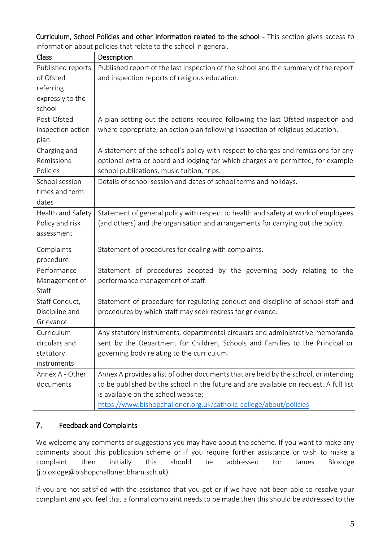Curriculum, School Policies and other information related to the school - This section gives access to information about policies that relate to the school in general.

| Class             | Description                                                                           |
|-------------------|---------------------------------------------------------------------------------------|
| Published reports | Published report of the last inspection of the school and the summary of the report   |
| of Ofsted         | and inspection reports of religious education.                                        |
| referring         |                                                                                       |
| expressly to the  |                                                                                       |
| school            |                                                                                       |
| Post-Ofsted       | A plan setting out the actions required following the last Ofsted inspection and      |
| inspection action | where appropriate, an action plan following inspection of religious education.        |
| plan              |                                                                                       |
| Charging and      | A statement of the school's policy with respect to charges and remissions for any     |
| Remissions        | optional extra or board and lodging for which charges are permitted, for example      |
| Policies          | school publications, music tuition, trips.                                            |
| School session    | Details of school session and dates of school terms and holidays.                     |
| times and term    |                                                                                       |
| dates             |                                                                                       |
| Health and Safety | Statement of general policy with respect to health and safety at work of employees    |
| Policy and risk   | (and others) and the organisation and arrangements for carrying out the policy.       |
| assessment        |                                                                                       |
| Complaints        | Statement of procedures for dealing with complaints.                                  |
| procedure         |                                                                                       |
| Performance       | Statement of procedures adopted by the governing body relating to the                 |
| Management of     | performance management of staff.                                                      |
| Staff             |                                                                                       |
| Staff Conduct,    | Statement of procedure for regulating conduct and discipline of school staff and      |
| Discipline and    | procedures by which staff may seek redress for grievance.                             |
| Grievance         |                                                                                       |
| Curriculum        | Any statutory instruments, departmental circulars and administrative memoranda        |
| circulars and     | sent by the Department for Children, Schools and Families to the Principal or         |
| statutory         | governing body relating to the curriculum.                                            |
| instruments       |                                                                                       |
| Annex A - Other   | Annex A provides a list of other documents that are held by the school, or intending  |
| documents         | to be published by the school in the future and are available on request. A full list |
|                   | is available on the school website:                                                   |
|                   | https://www.bishopchalloner.org.uk/catholic-college/about/policies                    |

# **7.** Feedback and Complaints

We welcome any comments or suggestions you may have about the scheme. If you want to make any comments about this publication scheme or if you require further assistance or wish to make a complaint then initially this should be addressed to: James Bloxidge (j.bloxidge@bishopchalloner.bham.sch.uk).

If you are not satisfied with the assistance that you get or if we have not been able to resolve your complaint and you feel that a formal complaint needs to be made then this should be addressed to the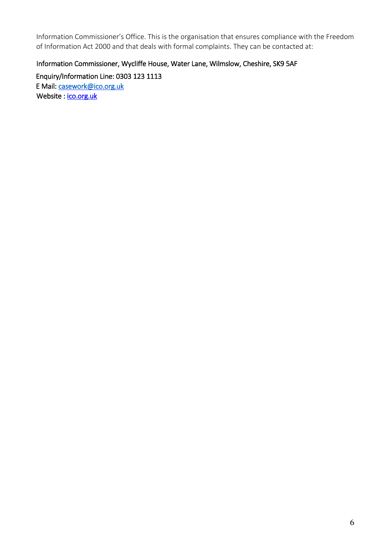Information Commissioner's Office. This is the organisation that ensures compliance with the Freedom of Information Act 2000 and that deals with formal complaints. They can be contacted at:

## Information Commissioner, Wycliffe House, Water Lane, Wilmslow, Cheshire, SK9 5AF

Enquiry/Information Line: 0303 123 1113 E Mail: [casework@ico.org.uk](mailto:casework@ico.org.uk)  Website : ico.org.uk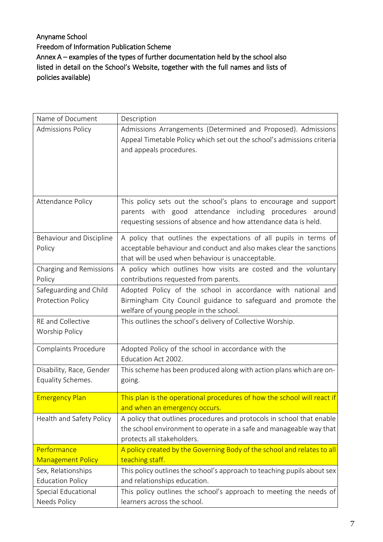# Anyname School Freedom of Information Publication Scheme Annex A – examples of the types of further documentation held by the school also listed in detail on the School's Website, together with the full names and lists of policies available)

| Name of Document                               | Description                                                                                |
|------------------------------------------------|--------------------------------------------------------------------------------------------|
| <b>Admissions Policy</b>                       | Admissions Arrangements (Determined and Proposed). Admissions                              |
|                                                | Appeal Timetable Policy which set out the school's admissions criteria                     |
|                                                | and appeals procedures.                                                                    |
|                                                |                                                                                            |
|                                                |                                                                                            |
|                                                |                                                                                            |
| Attendance Policy                              | This policy sets out the school's plans to encourage and support                           |
|                                                | parents with good attendance including procedures around                                   |
|                                                | requesting sessions of absence and how attendance data is held.                            |
| <b>Behaviour and Discipline</b>                | A policy that outlines the expectations of all pupils in terms of                          |
| Policy                                         | acceptable behaviour and conduct and also makes clear the sanctions                        |
|                                                | that will be used when behaviour is unacceptable.                                          |
| Charging and Remissions                        | A policy which outlines how visits are costed and the voluntary                            |
| Policy                                         | contributions requested from parents.                                                      |
| Safeguarding and Child                         | Adopted Policy of the school in accordance with national and                               |
| <b>Protection Policy</b>                       | Birmingham City Council guidance to safeguard and promote the                              |
|                                                | welfare of young people in the school.                                                     |
| <b>RE</b> and Collective<br>Worship Policy     | This outlines the school's delivery of Collective Worship.                                 |
|                                                |                                                                                            |
| Complaints Procedure                           | Adopted Policy of the school in accordance with the                                        |
|                                                | Education Act 2002.                                                                        |
| Disability, Race, Gender                       | This scheme has been produced along with action plans which are on-                        |
| Equality Schemes.                              | going.                                                                                     |
| <b>Emergency Plan</b>                          | This plan is the operational procedures of how the school will react if                    |
|                                                | and when an emergency occurs.                                                              |
| Health and Safety Policy                       | A policy that outlines procedures and protocols in school that enable                      |
|                                                | the school environment to operate in a safe and manageable way that                        |
|                                                | protects all stakeholders.                                                                 |
| Performance                                    | A policy created by the Governing Body of the school and relates to all<br>teaching staff. |
| <b>Management Policy</b><br>Sex, Relationships | This policy outlines the school's approach to teaching pupils about sex                    |
| <b>Education Policy</b>                        | and relationships education.                                                               |
| Special Educational                            | This policy outlines the school's approach to meeting the needs of                         |
| Needs Policy                                   | learners across the school.                                                                |